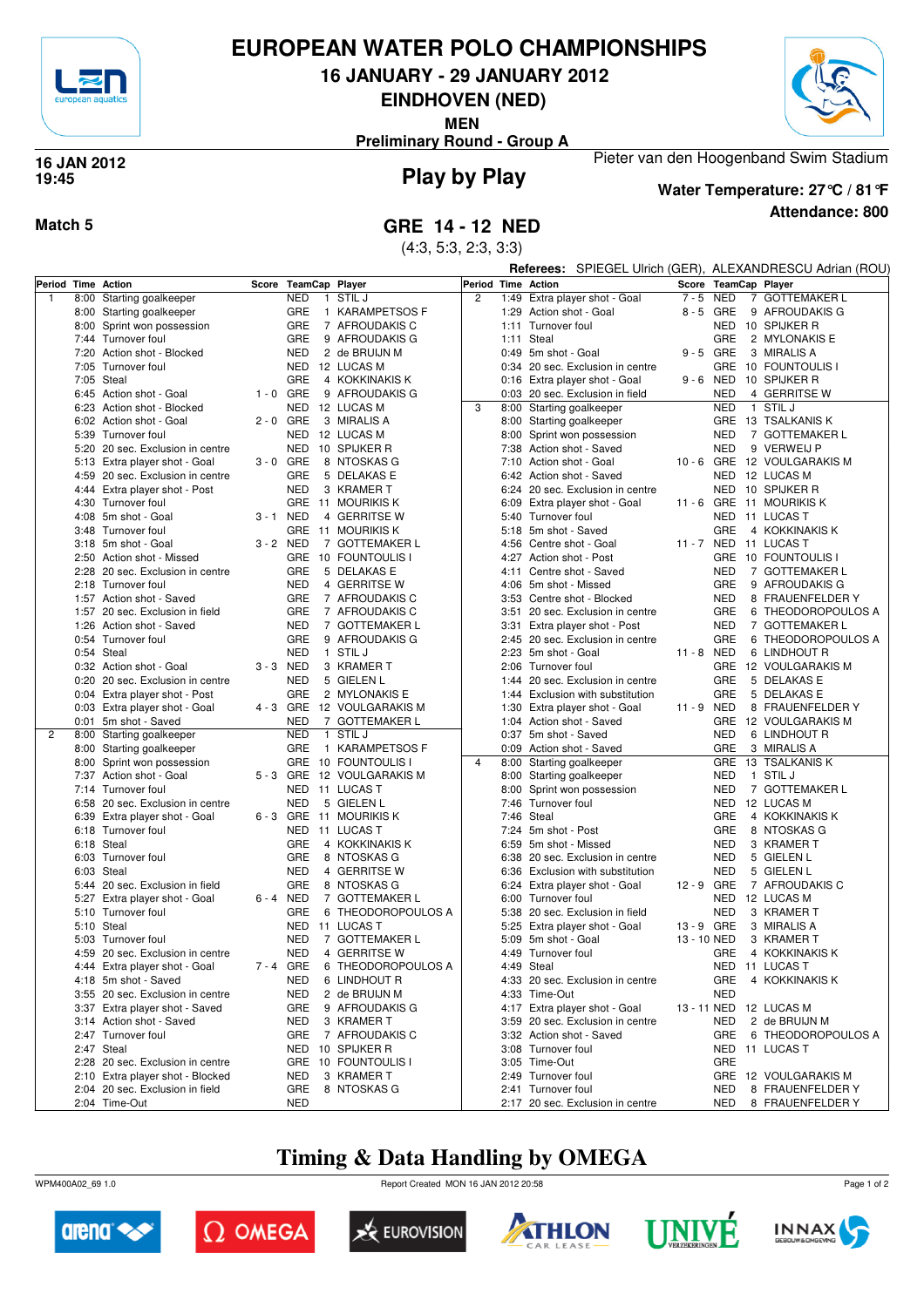

### **EUROPEAN WATER POLO CHAMPIONSHIPS**

**16 JANUARY - 29 JANUARY 2012**

**EINDHOVEN (NED)**

**MEN**

**Preliminary Round - Group A**



#### **Play by Play 16 JAN 2012 19:45**



**Water Temperature: 27°C / 81°F**

Pieter van den Hoogenband Swim Stadium

**Attendance: 800**

(4:3, 5:3, 2:3, 3:3)

|                    |                                  |             |                            |                            | Referees: SPIEGEL Ulrich (GER), ALEXANDRESCU Adrian (ROU) |      |                                  |             |                      |                             |  |  |  |
|--------------------|----------------------------------|-------------|----------------------------|----------------------------|-----------------------------------------------------------|------|----------------------------------|-------------|----------------------|-----------------------------|--|--|--|
| Period Time Action |                                  |             | Score TeamCap Player       |                            |                                                           |      | Period Time Action               |             | Score TeamCap Player |                             |  |  |  |
| 1                  | 8:00 Starting goalkeeper         |             | <b>NED</b><br>$\mathbf{1}$ | STIL J                     | $\overline{c}$                                            | 1:49 | Extra player shot - Goal         | 7-5 NED     |                      | 7 GOTTEMAKER L              |  |  |  |
|                    | 8:00 Starting goalkeeper         |             | GRE                        | 1 KARAMPETSOS F            |                                                           |      | 1:29 Action shot - Goal          | 8-5 GRE     |                      | 9 AFROUDAKIS G              |  |  |  |
|                    | 8:00 Sprint won possession       |             | GRE                        | 7 AFROUDAKIS C             |                                                           |      | 1:11 Turnover foul               |             | <b>NED</b>           | 10 SPIJKER R                |  |  |  |
|                    | 7:44 Turnover foul               |             | GRE                        | 9 AFROUDAKIS G             |                                                           | 1:11 | Steal                            |             | GRE                  | 2 MYLONAKIS E               |  |  |  |
|                    | 7:20 Action shot - Blocked       |             | NED                        |                            |                                                           |      | 0:49 5m shot - Goal              | $9 - 5$ GRE |                      | 3 MIRALIS A                 |  |  |  |
|                    |                                  |             |                            | 2 de BRUIJN M              |                                                           |      |                                  |             |                      |                             |  |  |  |
|                    | 7:05 Turnover foul               |             |                            | NED 12 LUCAS M             |                                                           |      | 0:34 20 sec. Exclusion in centre |             | <b>GRE</b>           | 10 FOUNTOULIS I             |  |  |  |
|                    | 7:05 Steal                       |             | GRE                        | 4 KOKKINAKIS K             |                                                           |      | 0:16 Extra player shot - Goal    | $9 - 6$ NED |                      | 10 SPIJKER R                |  |  |  |
|                    | 6:45 Action shot - Goal          | $1 - 0$ GRE |                            | 9 AFROUDAKIS G             |                                                           |      | 0:03 20 sec. Exclusion in field  |             | <b>NED</b>           | 4 GERRITSE W                |  |  |  |
|                    | 6:23 Action shot - Blocked       |             | NED                        | 12 LUCAS M                 | 3                                                         |      | 8:00 Starting goalkeeper         |             | <b>NED</b>           | 1 STIL J                    |  |  |  |
|                    | 6:02 Action shot - Goal          | $2 - 0$ GRE |                            | 3 MIRALIS A                |                                                           |      | 8:00 Starting goalkeeper         |             |                      | GRE 13 TSALKANIS K          |  |  |  |
|                    | 5:39 Turnover foul               |             | NED                        | 12 LUCAS M                 |                                                           |      | 8:00 Sprint won possession       |             | <b>NED</b>           | 7 GOTTEMAKER L              |  |  |  |
|                    | 5:20 20 sec. Exclusion in centre |             | NED                        | 10 SPIJKER R               |                                                           | 7:38 | Action shot - Saved              |             | <b>NED</b>           | 9 VERWEIJ P                 |  |  |  |
|                    | 5:13 Extra player shot - Goal    | $3 - 0$ GRE |                            | 8 NTOSKAS G                |                                                           |      | 7:10 Action shot - Goal          |             |                      | 10 - 6 GRE 12 VOULGARAKIS M |  |  |  |
|                    | 4:59 20 sec. Exclusion in centre |             | GRE                        | 5 DELAKAS E                |                                                           |      | 6:42 Action shot - Saved         |             | NED                  | 12 LUCAS M                  |  |  |  |
|                    | 4:44 Extra player shot - Post    |             | <b>NED</b>                 | 3 KRAMER T                 |                                                           |      | 6:24 20 sec. Exclusion in centre |             | <b>NED</b>           | 10 SPIJKER R                |  |  |  |
|                    | 4:30 Turnover foul               |             |                            | GRE 11 MOURIKIS K          |                                                           | 6:09 | Extra player shot - Goal         | 11 - 6 GRE  |                      | 11 MOURIKIS K               |  |  |  |
|                    | 4:08 5m shot - Goal              | 3-1 NED     |                            | 4 GERRITSE W               |                                                           | 5:40 | Turnover foul                    |             | <b>NED</b>           | 11 LUCAS T                  |  |  |  |
|                    | 3:48 Turnover foul               |             |                            | GRE 11 MOURIKIS K          |                                                           |      | 5:18 5m shot - Saved             |             | GRE                  | 4 KOKKINAKIS K              |  |  |  |
|                    |                                  |             |                            |                            |                                                           |      |                                  |             |                      |                             |  |  |  |
|                    | 3:18 5m shot - Goal              | 3-2 NED     |                            | 7 GOTTEMAKER L             |                                                           |      | 4:56 Centre shot - Goal          |             |                      | 11 - 7 NED 11 LUCAS T       |  |  |  |
|                    | 2:50 Action shot - Missed        |             |                            | GRE 10 FOUNTOULIS I        |                                                           |      | 4:27 Action shot - Post          |             | <b>GRE</b>           | 10 FOUNTOULIS I             |  |  |  |
|                    | 2:28 20 sec. Exclusion in centre |             | GRE                        | 5 DELAKAS E                |                                                           | 4:11 | Centre shot - Saved              |             | <b>NED</b>           | 7 GOTTEMAKER L              |  |  |  |
|                    | 2:18 Turnover foul               |             | <b>NED</b>                 | 4 GERRITSE W               |                                                           |      | 4:06 5m shot - Missed            |             | GRE                  | 9 AFROUDAKIS G              |  |  |  |
|                    | 1:57 Action shot - Saved         |             | GRE                        | 7 AFROUDAKIS C             |                                                           | 3:53 | Centre shot - Blocked            |             | <b>NED</b>           | 8 FRAUENFELDER Y            |  |  |  |
|                    | 1:57 20 sec. Exclusion in field  |             | GRE                        | 7 AFROUDAKIS C             |                                                           | 3:51 | 20 sec. Exclusion in centre      |             | GRE                  | 6 THEODOROPOULOS A          |  |  |  |
|                    | 1:26 Action shot - Saved         |             | <b>NED</b>                 | 7 GOTTEMAKER L             |                                                           | 3:31 | Extra player shot - Post         |             | <b>NED</b>           | 7 GOTTEMAKER L              |  |  |  |
|                    | 0:54 Turnover foul               |             | GRE                        | 9 AFROUDAKIS G             |                                                           |      | 2:45 20 sec. Exclusion in centre |             | GRE                  | 6 THEODOROPOULOS A          |  |  |  |
|                    | 0:54 Steal                       |             | NED                        | 1 STIL J                   |                                                           | 2:23 | 5m shot - Goal                   | 11 - 8 NED  |                      | 6 LINDHOUT R                |  |  |  |
|                    | 0:32 Action shot - Goal          | 3-3 NED     |                            | 3 KRAMER T                 |                                                           | 2:06 | Turnover foul                    |             |                      | GRE 12 VOULGARAKIS M        |  |  |  |
|                    | 0:20 20 sec. Exclusion in centre |             | <b>NED</b>                 | 5 GIELEN L                 |                                                           | 1:44 | 20 sec. Exclusion in centre      |             | GRE                  | 5 DELAKAS E                 |  |  |  |
|                    | 0:04 Extra player shot - Post    |             | GRE                        | 2 MYLONAKIS E              |                                                           | 1:44 | Exclusion with substitution      |             | GRE                  | 5 DELAKAS E                 |  |  |  |
|                    | 0:03 Extra player shot - Goal    |             |                            | 4 - 3 GRE 12 VOULGARAKIS M |                                                           | 1:30 | Extra player shot - Goal         | 11 - 9 NED  |                      | 8 FRAUENFELDER Y            |  |  |  |
|                    |                                  |             | <b>NED</b>                 | 7 GOTTEMAKER L             |                                                           |      | 1:04 Action shot - Saved         |             | <b>GRE</b>           | 12 VOULGARAKIS M            |  |  |  |
| 2                  | 0:01 5m shot - Saved             |             | NED                        | 1 STIL J                   |                                                           |      | 0:37 5m shot - Saved             |             | <b>NED</b>           |                             |  |  |  |
|                    | 8:00 Starting goalkeeper         |             |                            |                            |                                                           |      |                                  |             |                      | 6 LINDHOUT R                |  |  |  |
|                    | 8:00 Starting goalkeeper         |             | GRE                        | 1 KARAMPETSOS F            |                                                           |      | 0:09 Action shot - Saved         |             | GRE                  | 3 MIRALIS A                 |  |  |  |
|                    | 8:00 Sprint won possession       |             |                            | GRE 10 FOUNTOULIS          | $\overline{4}$                                            |      | 8:00 Starting goalkeeper         |             | <b>GRE</b>           | 13 TSALKANIS K              |  |  |  |
|                    | 7:37 Action shot - Goal          |             |                            | 5 - 3 GRE 12 VOULGARAKIS M |                                                           |      | 8:00 Starting goalkeeper         |             | <b>NED</b>           | 1 STIL J                    |  |  |  |
|                    | 7:14 Turnover foul               |             | NED                        | 11 LUCAS T                 |                                                           |      | 8:00 Sprint won possession       |             | <b>NED</b>           | 7 GOTTEMAKER L              |  |  |  |
|                    | 6:58 20 sec. Exclusion in centre |             | NED                        | 5 GIELEN L                 |                                                           | 7:46 | Turnover foul                    |             | <b>NED</b>           | 12 LUCAS M                  |  |  |  |
|                    | 6:39 Extra player shot - Goal    |             |                            | 6 - 3 GRE 11 MOURIKIS K    |                                                           |      | 7:46 Steal                       |             | GRE                  | 4 KOKKINAKIS K              |  |  |  |
|                    | 6:18 Turnover foul               |             | NED                        | 11 LUCAS T                 |                                                           |      | 7:24 5m shot - Post              |             | GRE                  | 8 NTOSKAS G                 |  |  |  |
|                    | 6:18 Steal                       |             | GRE                        | 4 KOKKINAKIS K             |                                                           |      | 6:59 5m shot - Missed            |             | <b>NED</b>           | 3 KRAMER T                  |  |  |  |
|                    | 6:03 Turnover foul               |             | GRE                        | 8 NTOSKAS G                |                                                           | 6:38 | 20 sec. Exclusion in centre      |             | <b>NED</b>           | 5 GIELEN L                  |  |  |  |
|                    | 6:03 Steal                       |             | <b>NED</b>                 | 4 GERRITSE W               |                                                           | 6:36 | Exclusion with substitution      |             | <b>NED</b>           | 5 GIELEN L                  |  |  |  |
|                    | 5:44 20 sec. Exclusion in field  |             | <b>GRE</b>                 | 8 NTOSKAS G                |                                                           |      | 6:24 Extra player shot - Goal    | 12 - 9 GRE  |                      | 7 AFROUDAKIS C              |  |  |  |
|                    | 5:27 Extra player shot - Goal    | 6 - 4       | NED                        | 7 GOTTEMAKER L             |                                                           | 6:00 | Turnover foul                    |             | <b>NED</b>           | 12 LUCAS M                  |  |  |  |
|                    | 5:10 Turnover foul               |             | GRE                        | 6 THEODOROPOULOS A         |                                                           | 5:38 | 20 sec. Exclusion in field       |             | <b>NED</b>           | 3 KRAMER T                  |  |  |  |
|                    | 5:10 Steal                       |             | NED                        | 11 LUCAS T                 |                                                           |      | 5:25 Extra player shot - Goal    | 13 - 9 GRE  |                      | 3 MIRALIS A                 |  |  |  |
|                    | 5:03 Turnover foul               |             | <b>NED</b>                 | 7 GOTTEMAKER L             |                                                           |      | 5:09 5m shot - Goal              | 13 - 10 NED |                      | 3 KRAMER T                  |  |  |  |
|                    | 4:59 20 sec. Exclusion in centre |             | NED                        | 4 GERRITSE W               |                                                           |      | 4:49 Turnover foul               |             | GRE                  | 4 KOKKINAKIS K              |  |  |  |
|                    |                                  |             |                            |                            |                                                           |      |                                  |             |                      |                             |  |  |  |
|                    | 4:44 Extra player shot - Goal    | 7-4 GRE     |                            | 6 THEODOROPOULOS A         |                                                           |      | 4:49 Steal                       |             |                      | NED 11 LUCAS T              |  |  |  |
|                    | 4:18 5m shot - Saved             |             | <b>NED</b>                 | 6 LINDHOUT R               |                                                           |      | 4:33 20 sec. Exclusion in centre |             | <b>GRE</b>           | 4 KOKKINAKIS K              |  |  |  |
|                    | 3:55 20 sec. Exclusion in centre |             | NED                        | 2 de BRUIJN M              |                                                           |      | 4:33 Time-Out                    |             | <b>NED</b>           |                             |  |  |  |
|                    | 3:37 Extra player shot - Saved   |             | GRE                        | 9 AFROUDAKIS G             |                                                           |      | 4:17 Extra player shot - Goal    |             |                      | 13 - 11 NED 12 LUCAS M      |  |  |  |
|                    | 3:14 Action shot - Saved         |             | NED                        | 3 KRAMER T                 |                                                           |      | 3:59 20 sec. Exclusion in centre |             | <b>NED</b>           | 2 de BRUIJN M               |  |  |  |
|                    | 2:47 Turnover foul               |             | GRE                        | 7 AFROUDAKIS C             |                                                           |      | 3:32 Action shot - Saved         |             | <b>GRE</b>           | 6 THEODOROPOULOS A          |  |  |  |
|                    | 2:47 Steal                       |             |                            | NED 10 SPIJKER R           |                                                           |      | 3:08 Turnover foul               |             |                      | NED 11 LUCAS T              |  |  |  |
|                    | 2:28 20 sec. Exclusion in centre |             |                            | GRE 10 FOUNTOULIS I        |                                                           |      | 3:05 Time-Out                    |             | GRE                  |                             |  |  |  |
|                    | 2:10 Extra player shot - Blocked |             | NED                        | 3 KRAMER T                 |                                                           |      | 2:49 Turnover foul               |             |                      | GRE 12 VOULGARAKIS M        |  |  |  |
|                    | 2:04 20 sec. Exclusion in field  |             | GRE                        | 8 NTOSKAS G                |                                                           |      | 2:41 Turnover foul               |             | NED                  | 8 FRAUENFELDER Y            |  |  |  |
|                    | 2:04 Time-Out                    |             | <b>NED</b>                 |                            |                                                           |      | 2:17 20 sec. Exclusion in centre |             | <b>NED</b>           | 8 FRAUENFELDER Y            |  |  |  |

# **Timing & Data Handling by OMEGA**













Page 1 of 2

WPM400A02\_69 1.0 Report Created MON 16 JAN 2012 20:58